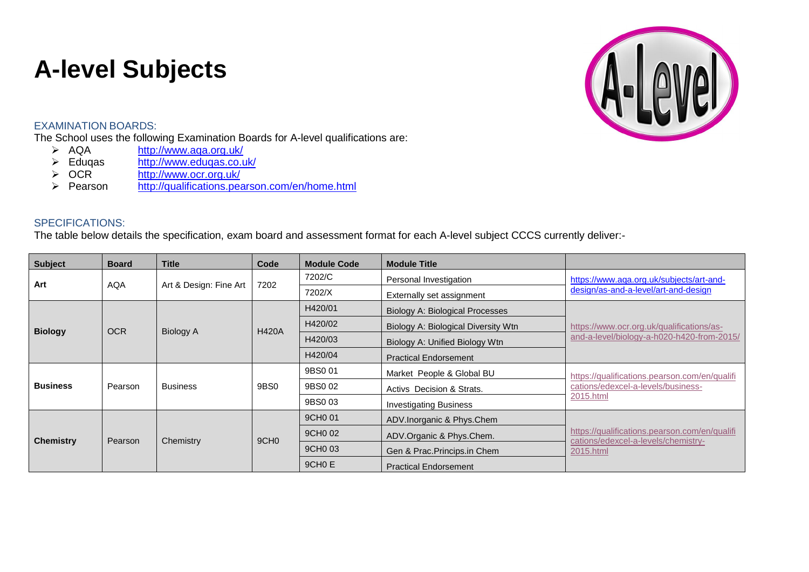## **A-level Subjects**

## EXAMINATION BOARDS:

The School uses the following Examination Boards for A-level qualifications are:<br>  $\triangleright$  AQA http://www.aqa.org.uk/

- > AQA <http://www.aqa.org.uk/><br>
> Edugas http://www.edugas.co.u
- > Eduqas <http://www.eduqas.co.uk/><br>
→ OCR http://www.ocr.org.uk/
- > OCR <http://www.ocr.org.uk/><br>> Pearson http://qualifications.pea
- <http://qualifications.pearson.com/en/home.html>

## SPECIFICATIONS:

The table below details the specification, exam board and assessment format for each A-level subject CCCS currently deliver:-

| <b>Subject</b>   | <b>Board</b> | <b>Title</b>           | Code             | <b>Module Code</b>  | <b>Module Title</b>                 |                                                                                                   |
|------------------|--------------|------------------------|------------------|---------------------|-------------------------------------|---------------------------------------------------------------------------------------------------|
| Art              | <b>AQA</b>   | Art & Design: Fine Art | 7202             | 7202/C              | Personal Investigation              | https://www.aqa.org.uk/subjects/art-and-<br>design/as-and-a-level/art-and-design                  |
|                  |              |                        |                  | 7202/X              | Externally set assignment           |                                                                                                   |
| <b>Biology</b>   | <b>OCR</b>   | <b>Biology A</b>       | <b>H420A</b>     | H420/01             | Biology A: Biological Processes     | https://www.ocr.org.uk/qualifications/as-<br>and-a-level/biology-a-h020-h420-from-2015/           |
|                  |              |                        |                  | H420/02             | Biology A: Biological Diversity Wtn |                                                                                                   |
|                  |              |                        |                  | H420/03             | Biology A: Unified Biology Wtn      |                                                                                                   |
|                  |              |                        |                  | H420/04             | <b>Practical Endorsement</b>        |                                                                                                   |
| <b>Business</b>  | Pearson      | <b>Business</b>        | 9BS0             | 9BS0 01             | Market People & Global BU           | https://qualifications.pearson.com/en/qualifi<br>cations/edexcel-a-levels/business-<br>2015.html  |
|                  |              |                        |                  | 9BS0 02             | Activs Decision & Strats.           |                                                                                                   |
|                  |              |                        |                  | 9BS0 03             | <b>Investigating Business</b>       |                                                                                                   |
| <b>Chemistry</b> | Pearson      | Chemistry              | 9CH <sub>0</sub> | 9CH <sub>0</sub> 01 | ADV.Inorganic & Phys.Chem           | https://qualifications.pearson.com/en/qualifi<br>cations/edexcel-a-levels/chemistry-<br>2015.html |
|                  |              |                        |                  | 9CH <sub>0</sub> 02 | ADV.Organic & Phys.Chem.            |                                                                                                   |
|                  |              |                        |                  | 9CH <sub>0</sub> 03 | Gen & Prac. Princips.in Chem        |                                                                                                   |
|                  |              |                        |                  | 9CH <sub>0</sub> E  | <b>Practical Endorsement</b>        |                                                                                                   |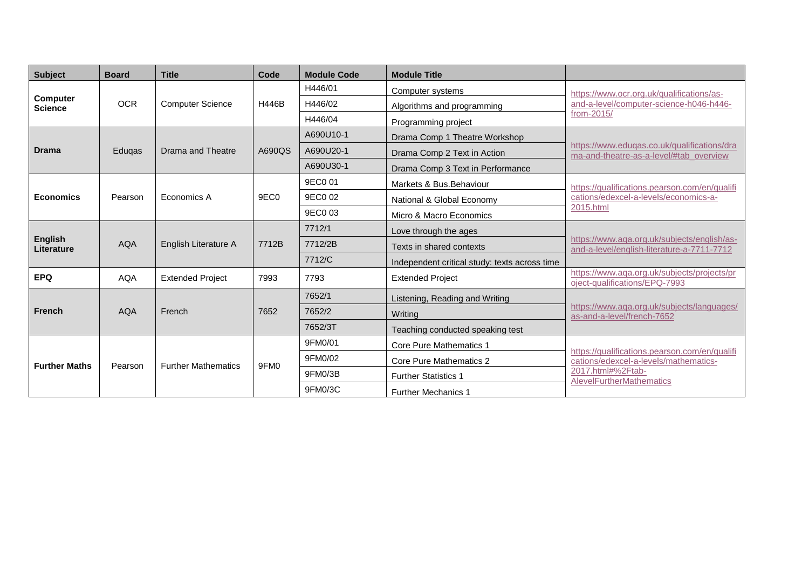| <b>Subject</b>                    | <b>Board</b> | <b>Title</b>               | Code             | <b>Module Code</b> | <b>Module Title</b>                           |                                                                                                                                                |
|-----------------------------------|--------------|----------------------------|------------------|--------------------|-----------------------------------------------|------------------------------------------------------------------------------------------------------------------------------------------------|
|                                   |              |                            |                  | H446/01            | Computer systems                              | https://www.ocr.org.uk/qualifications/as-                                                                                                      |
| <b>Computer</b><br><b>Science</b> | <b>OCR</b>   | <b>Computer Science</b>    | H446B            | H446/02            | Algorithms and programming                    | and-a-level/computer-science-h046-h446-                                                                                                        |
|                                   |              |                            |                  | H446/04            | Programming project                           | from-2015/                                                                                                                                     |
|                                   |              |                            |                  | A690U10-1          | Drama Comp 1 Theatre Workshop                 |                                                                                                                                                |
| <b>Drama</b>                      | Eduqas       | Drama and Theatre          | A690QS           | A690U20-1          | Drama Comp 2 Text in Action                   | https://www.edugas.co.uk/gualifications/dra<br>ma-and-theatre-as-a-level/#tab overview                                                         |
|                                   |              |                            |                  | A690U30-1          | Drama Comp 3 Text in Performance              |                                                                                                                                                |
|                                   |              |                            |                  | 9EC0 01            | Markets & Bus. Behaviour                      | https://qualifications.pearson.com/en/qualifi                                                                                                  |
| <b>Economics</b>                  | Pearson      | Economics A                | 9EC <sub>0</sub> | 9EC0 02            | National & Global Economy                     | cations/edexcel-a-levels/economics-a-<br>2015.html                                                                                             |
|                                   |              |                            |                  | 9EC0 03            | Micro & Macro Economics                       |                                                                                                                                                |
|                                   |              |                            |                  | 7712/1             | Love through the ages                         |                                                                                                                                                |
| <b>English</b><br>Literature      | <b>AQA</b>   | English Literature A       | 7712B            | 7712/2B            | Texts in shared contexts                      | https://www.aga.org.uk/subjects/english/as-<br>and-a-level/english-literature-a-7711-7712                                                      |
|                                   |              |                            |                  | 7712/C             | Independent critical study: texts across time |                                                                                                                                                |
| <b>EPQ</b>                        | <b>AQA</b>   | <b>Extended Project</b>    | 7993             | 7793               | <b>Extended Project</b>                       | https://www.aqa.org.uk/subjects/projects/pr<br>oject-qualifications/EPQ-7993                                                                   |
|                                   |              |                            |                  | 7652/1             | Listening, Reading and Writing                |                                                                                                                                                |
| <b>French</b>                     | <b>AQA</b>   | French                     | 7652             | 7652/2             | Writina                                       | https://www.aqa.org.uk/subjects/languages/<br>as-and-a-level/french-7652                                                                       |
|                                   |              |                            |                  | 7652/3T            | Teaching conducted speaking test              |                                                                                                                                                |
|                                   |              |                            |                  | 9FM0/01            | <b>Core Pure Mathematics 1</b>                |                                                                                                                                                |
| <b>Further Maths</b>              | Pearson      | <b>Further Mathematics</b> | 9FM <sub>0</sub> | 9FM0/02            | Core Pure Mathematics 2                       | https://qualifications.pearson.com/en/qualifi<br>cations/edexcel-a-levels/mathematics-<br>2017.html#%2Ftab-<br><b>AlevelFurtherMathematics</b> |
|                                   |              |                            |                  | 9FM0/3B            | <b>Further Statistics 1</b>                   |                                                                                                                                                |
|                                   |              |                            |                  | 9FM0/3C            | <b>Further Mechanics 1</b>                    |                                                                                                                                                |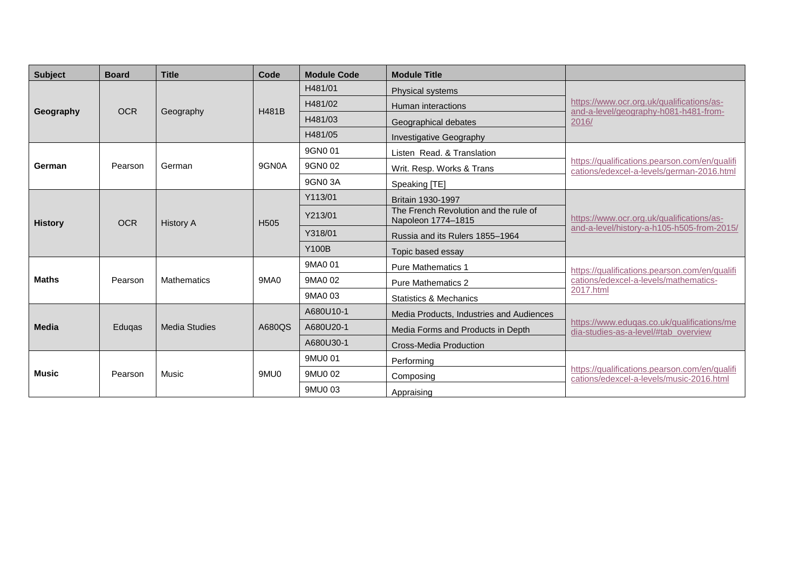| <b>Subject</b> | <b>Board</b> | <b>Title</b>         | Code             | <b>Module Code</b> | <b>Module Title</b>                                         |                                                                                             |
|----------------|--------------|----------------------|------------------|--------------------|-------------------------------------------------------------|---------------------------------------------------------------------------------------------|
| Geography      | <b>OCR</b>   | Geography            | <b>H481B</b>     | H481/01            | Physical systems                                            | https://www.ocr.org.uk/qualifications/as-<br>and-a-level/geography-h081-h481-from-<br>2016/ |
|                |              |                      |                  | H481/02            | Human interactions                                          |                                                                                             |
|                |              |                      |                  | H481/03            | Geographical debates                                        |                                                                                             |
|                |              |                      |                  | H481/05            | <b>Investigative Geography</b>                              |                                                                                             |
|                |              | German               | 9GN0A            | 9GN0 01            | Listen Read, & Translation                                  | https://qualifications.pearson.com/en/qualifi<br>cations/edexcel-a-levels/german-2016.html  |
| German         | Pearson      |                      |                  | 9GN0 02            | Writ. Resp. Works & Trans                                   |                                                                                             |
|                |              |                      |                  | 9GN0 3A            | Speaking [TE]                                               |                                                                                             |
|                | <b>OCR</b>   | <b>History A</b>     | H <sub>505</sub> | Y113/01            | Britain 1930-1997                                           | https://www.ocr.org.uk/qualifications/as-<br>and-a-level/history-a-h105-h505-from-2015/     |
| <b>History</b> |              |                      |                  | Y213/01            | The French Revolution and the rule of<br>Napoleon 1774-1815 |                                                                                             |
|                |              |                      |                  | Y318/01            | Russia and its Rulers 1855-1964                             |                                                                                             |
|                |              |                      |                  | <b>Y100B</b>       | Topic based essay                                           |                                                                                             |
|                |              |                      |                  | 9MA0 01            | <b>Pure Mathematics 1</b>                                   | https://qualifications.pearson.com/en/qualifi                                               |
| <b>Maths</b>   | Pearson      | <b>Mathematics</b>   | 9MA0             | 9MA0 02            | <b>Pure Mathematics 2</b>                                   | cations/edexcel-a-levels/mathematics-                                                       |
|                |              |                      |                  | 9MA0 03            | <b>Statistics &amp; Mechanics</b>                           | 2017.html                                                                                   |
|                |              |                      |                  | A680U10-1          | Media Products, Industries and Audiences                    |                                                                                             |
| <b>Media</b>   | Eduqas       | <b>Media Studies</b> | A680QS           | A680U20-1          | Media Forms and Products in Depth                           | https://www.eduqas.co.uk/qualifications/me<br>dia-studies-as-a-level/#tab overview          |
|                |              |                      |                  | A680U30-1          | Cross-Media Production                                      |                                                                                             |
| Music          | Pearson      | Music                | 9MU0             | 9MU0 01            | Performing                                                  | https://qualifications.pearson.com/en/qualifi<br>cations/edexcel-a-levels/music-2016.html   |
|                |              |                      |                  | 9MU0 02            | Composing                                                   |                                                                                             |
|                |              |                      |                  | 9MU0 03            | Appraising                                                  |                                                                                             |